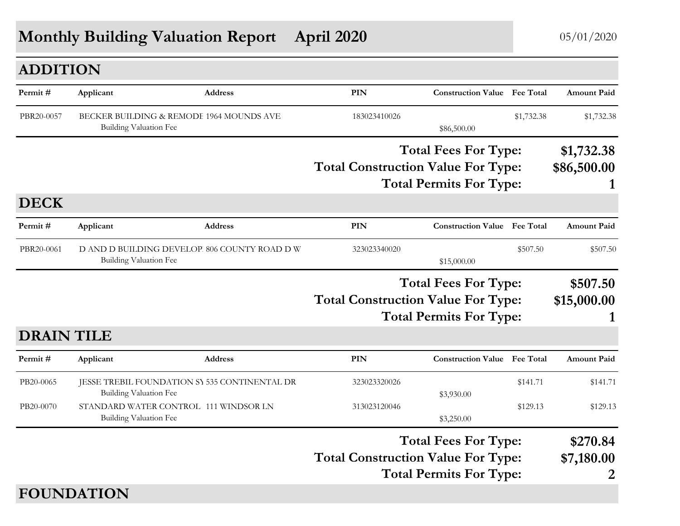# **Monthly Building Valuation Report April 2020** 05/01/2020

| <b>ADDITION</b>   |                                                                                |                |                                                                                                            |                                     |            |                             |
|-------------------|--------------------------------------------------------------------------------|----------------|------------------------------------------------------------------------------------------------------------|-------------------------------------|------------|-----------------------------|
| Permit#           | Applicant                                                                      | <b>Address</b> | PIN                                                                                                        | <b>Construction Value</b> Fee Total |            | <b>Amount Paid</b>          |
| PBR20-0057        | BECKER BUILDING & REMODE 1964 MOUNDS AVE<br><b>Building Valuation Fee</b>      |                | 183023410026                                                                                               | \$86,500.00                         | \$1,732.38 | \$1,732.38                  |
|                   |                                                                                |                |                                                                                                            | <b>Total Fees For Type:</b>         |            | \$1,732.38                  |
|                   |                                                                                |                | <b>Total Construction Value For Type:</b>                                                                  | <b>Total Permits For Type:</b>      |            | \$86,500.00                 |
| <b>DECK</b>       |                                                                                |                |                                                                                                            |                                     |            |                             |
| Permit#           | Applicant                                                                      | <b>Address</b> | PIN                                                                                                        | <b>Construction Value</b> Fee Total |            | <b>Amount Paid</b>          |
| PBR20-0061        | D AND D BUILDING DEVELOP. 806 COUNTY ROAD D W<br><b>Building Valuation Fee</b> |                | 323023340020                                                                                               | \$15,000.00                         | \$507.50   | \$507.50                    |
|                   |                                                                                |                |                                                                                                            | <b>Total Fees For Type:</b>         |            | \$507.50                    |
|                   |                                                                                |                | <b>Total Construction Value For Type:</b>                                                                  | <b>Total Permits For Type:</b>      |            | \$15,000.00<br>1            |
| <b>DRAIN TILE</b> |                                                                                |                |                                                                                                            |                                     |            |                             |
| Permit#           | Applicant                                                                      | <b>Address</b> | <b>PIN</b>                                                                                                 | <b>Construction Value</b> Fee Total |            | <b>Amount Paid</b>          |
| PB20-0065         | JESSE TREBIL FOUNDATION SY 535 CONTINENTAL DR<br><b>Building Valuation Fee</b> |                | 323023320026                                                                                               | \$3,930.00                          | \$141.71   | \$141.71                    |
| PB20-0070         | STANDARD WATER CONTROL 111 WINDSOR LN<br><b>Building Valuation Fee</b>         |                | 313023120046                                                                                               | \$3,250.00                          | \$129.13   | \$129.13                    |
|                   |                                                                                |                | <b>Total Fees For Type:</b><br><b>Total Construction Value For Type:</b><br><b>Total Permits For Type:</b> |                                     |            | \$270.84<br>\$7,180.00<br>2 |
|                   | <b>FOUNDATION</b>                                                              |                |                                                                                                            |                                     |            |                             |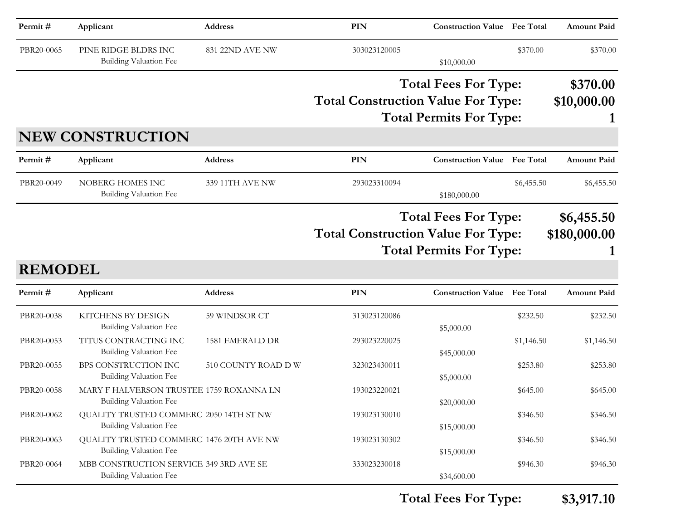| Permit#        | Applicant                                                                 | <b>Address</b>         | PIN                                       | <b>Construction Value Fee Total</b>                           |            | <b>Amount Paid</b>         |
|----------------|---------------------------------------------------------------------------|------------------------|-------------------------------------------|---------------------------------------------------------------|------------|----------------------------|
| PBR20-0065     | PINE RIDGE BLDRS INC<br><b>Building Valuation Fee</b>                     | 831 22ND AVE NW        | 303023120005                              | \$10,000.00                                                   | \$370.00   | \$370.00                   |
|                | <b>NEW CONSTRUCTION</b>                                                   |                        | <b>Total Construction Value For Type:</b> | <b>Total Fees For Type:</b><br><b>Total Permits For Type:</b> |            | \$370.00<br>\$10,000.00    |
| Permit#        | Applicant                                                                 | Address                | <b>PIN</b>                                | <b>Construction Value Fee Total</b>                           |            | <b>Amount Paid</b>         |
| PBR20-0049     | NOBERG HOMES INC<br><b>Building Valuation Fee</b>                         | 339 11TH AVE NW        | 293023310094                              | \$180,000.00                                                  | \$6,455.50 | \$6,455.50                 |
| <b>REMODEL</b> |                                                                           |                        | <b>Total Construction Value For Type:</b> | <b>Total Fees For Type:</b><br><b>Total Permits For Type:</b> |            | \$6,455.50<br>\$180,000.00 |
| Permit#        | Applicant                                                                 | Address                | <b>PIN</b>                                | <b>Construction Value Fee Total</b>                           |            | <b>Amount Paid</b>         |
| PBR20-0038     | KITCHENS BY DESIGN<br><b>Building Valuation Fee</b>                       | 59 WINDSOR CT          | 313023120086                              | \$5,000.00                                                    | \$232.50   | \$232.50                   |
| PBR20-0053     | TITUS CONTRACTING INC<br><b>Building Valuation Fee</b>                    | <b>1581 EMERALD DR</b> | 293023220025                              | \$45,000.00                                                   | \$1,146.50 | \$1,146.50                 |
| PBR20-0055     | BPS CONSTRUCTION INC<br><b>Building Valuation Fee</b>                     | 510 COUNTY ROAD D W    | 323023430011                              | \$5,000.00                                                    | \$253.80   | \$253.80                   |
| PBR20-0058     | MARY F HALVERSON TRUSTEE 1759 ROXANNA LN<br><b>Building Valuation Fee</b> |                        | 193023220021                              | \$20,000.00                                                   | \$645.00   | \$645.00                   |
| PBR20-0062     | QUALITY TRUSTED COMMERC 2050 14TH ST NW<br>Building Valuation Fee         |                        | 193023130010                              | \$15,000.00                                                   | \$346.50   | \$346.50                   |
| PBR20-0063     | QUALITY TRUSTED COMMERC. 1476 20TH AVE NW<br>Building Valuation Fee       |                        | 193023130302                              | \$15,000.00                                                   | \$346.50   | \$346.50                   |
| PBR20-0064     | MBB CONSTRUCTION SERVICE 349 3RD AVE SE<br>Building Valuation Fee         |                        | 333023230018                              | \$34,600.00                                                   | \$946.30   | \$946.30                   |

**Total Fees For Type: \$3,917.10**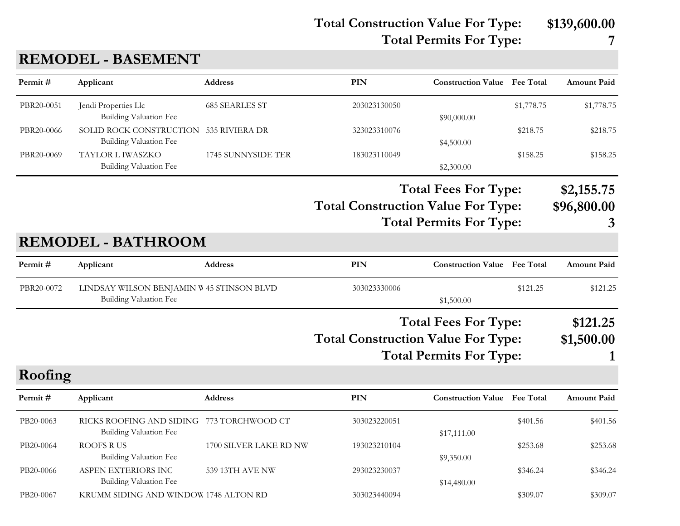**Total Construction Value For Type: \$139,600.00**

**Total Fees For Type: \$2,155.75**

**Total Permits For Type: 7**

## **PIN Construction Value Permit # Applicant Address Fee Total Amount Paid** PBR20-0051 Jendi Properties Llc 685 SEARLES ST 203023130050 \$1,778.75 \$1,778.75 \$1,778.75 Building Valuation Fee  $$90,000.00$ PBR20-0066 SOLID ROCK CONSTRUCTION 535 RIVIERA DR 323023310076 \$218.75 \$218.75 \$218.75 Building Valuation Fee  $$4,500.00$ PBR20-0069 TAYLOR L IWASZKO 1745 SUNNYSIDE TER 183023110049 \$158.25 \$158.25 \$158.25 Building Valuation Fee  $$2,300.00$ **Total Construction Value For Type: \$96,800.00 Total Permits For Type: 3 REMODEL - BATHROOM**

**REMODEL - BASEMENT**

| Permit#    | Applicant                     | <b>Address</b>                            | PIN                                                                      | <b>Construction Value</b> Fee Total |          | <b>Amount Paid</b> |
|------------|-------------------------------|-------------------------------------------|--------------------------------------------------------------------------|-------------------------------------|----------|--------------------|
| PBR20-0072 |                               | LINDSAY WILSON BENJAMIN W 45 STINSON BLVD | 303023330006                                                             |                                     | \$121.25 | \$121.25           |
|            | <b>Building Valuation Fee</b> |                                           |                                                                          | \$1,500.00                          |          |                    |
|            |                               |                                           | <b>Total Fees For Type:</b><br><b>Total Construction Value For Type:</b> |                                     |          | \$121.25           |
|            |                               |                                           |                                                                          |                                     |          | \$1,500.00         |
|            |                               |                                           |                                                                          | <b>Total Permits For Type:</b>      |          |                    |
|            |                               |                                           |                                                                          |                                     |          |                    |

| Roofing |  |
|---------|--|
|         |  |

| Permit #  | Applicant                                                           | <b>Address</b>         | PIN          | <b>Construction Value</b> Fee Total |          | <b>Amount Paid</b> |
|-----------|---------------------------------------------------------------------|------------------------|--------------|-------------------------------------|----------|--------------------|
| PB20-0063 | RICKS ROOFING AND SIDING 773 TORCHWOOD CT<br>Building Valuation Fee |                        | 303023220051 | \$17,111.00                         | \$401.56 | \$401.56           |
| PB20-0064 | ROOFS R US<br><b>Building Valuation Fee</b>                         | 1700 SILVER LAKE RD NW | 193023210104 | \$9,350.00                          | \$253.68 | \$253.68           |
| PB20-0066 | ASPEN EXTERIORS INC<br>Building Valuation Fee                       | 539 13TH AVE NW        | 293023230037 | \$14,480.00                         | \$346.24 | \$346.24           |
| PB20-0067 | KRUMM SIDING AND WINDOW 1748 ALTON RD                               |                        | 303023440094 |                                     | \$309.07 | \$309.07           |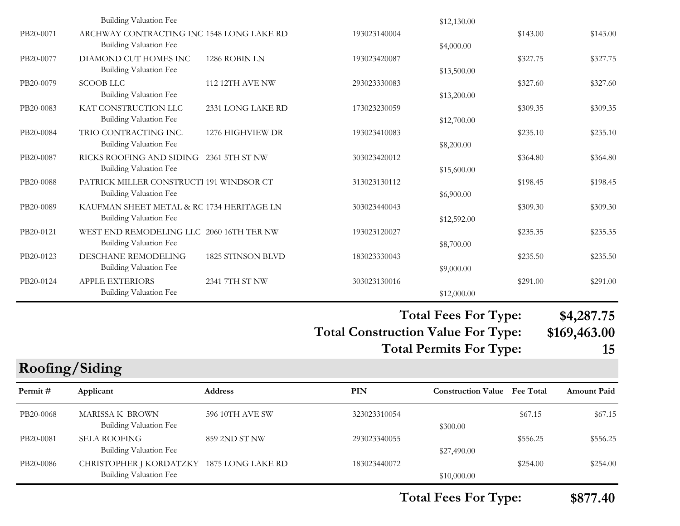|           |                                                                           |                        |              | $T_{\alpha\alpha}$ $F_{\alpha\alpha}$ $F_{\alpha\beta}$ $T_{\alpha\beta}$ |          | $0.1$ $0.07$ $75$ |
|-----------|---------------------------------------------------------------------------|------------------------|--------------|---------------------------------------------------------------------------|----------|-------------------|
|           | <b>Building Valuation Fee</b>                                             |                        |              | \$12,000.00                                                               |          |                   |
| PB20-0124 | <b>APPLE EXTERIORS</b>                                                    | 2341 7TH ST NW         | 303023130016 |                                                                           | \$291.00 | \$291.00          |
| PB20-0123 | DESCHANE REMODELING<br><b>Building Valuation Fee</b>                      | 1825 STINSON BLVD      | 183023330043 | \$9,000.00                                                                | \$235.50 | \$235.50          |
|           | <b>Building Valuation Fee</b>                                             |                        |              | \$8,700.00                                                                |          |                   |
| PB20-0121 | WEST END REMODELING LLC 2060 16TH TER NW                                  |                        | 193023120027 |                                                                           | \$235.35 | \$235.35          |
|           | Building Valuation Fee                                                    |                        |              | \$12,592.00                                                               |          |                   |
| PB20-0089 | KAUFMAN SHEET METAL & RC 1734 HERITAGE LN                                 |                        | 303023440043 | \$6,900.00                                                                | \$309.30 | \$309.30          |
| PB20-0088 | PATRICK MILLER CONSTRUCTI 191 WINDSOR CT<br><b>Building Valuation Fee</b> |                        | 313023130112 |                                                                           | \$198.45 | \$198.45          |
|           | Building Valuation Fee                                                    |                        |              | \$15,600.00                                                               |          |                   |
| PB20-0087 | RICKS ROOFING AND SIDING 2361 5TH ST NW                                   |                        | 303023420012 |                                                                           | \$364.80 | \$364.80          |
|           | Building Valuation Fee                                                    |                        |              | \$8,200.00                                                                |          |                   |
| PB20-0084 | TRIO CONTRACTING INC.                                                     | 1276 HIGHVIEW DR       | 193023410083 |                                                                           | \$235.10 | \$235.10          |
|           | Building Valuation Fee                                                    |                        |              | \$12,700.00                                                               |          |                   |
| PB20-0083 | <b>Building Valuation Fee</b><br>KAT CONSTRUCTION LLC                     | 2331 LONG LAKE RD      | 173023230059 | \$13,200.00                                                               | \$309.35 | \$309.35          |
| PB20-0079 | <b>SCOOB LLC</b>                                                          | <b>112 12TH AVE NW</b> | 293023330083 |                                                                           | \$327.60 | \$327.60          |
|           | Building Valuation Fee                                                    |                        |              | \$13,500.00                                                               |          |                   |
| PB20-0077 | DIAMOND CUT HOMES INC                                                     | 1286 ROBIN LN          | 193023420087 |                                                                           | \$327.75 | \$327.75          |
|           | <b>Building Valuation Fee</b>                                             |                        |              | \$4,000.00                                                                |          |                   |
| PB20-0071 | ARCHWAY CONTRACTING INC 1548 LONG LAKE RD                                 |                        | 193023140004 |                                                                           | \$143.00 | \$143.00          |
|           | <b>Building Valuation Fee</b>                                             |                        |              | \$12,130.00                                                               |          |                   |

#### **Total Fees For Type: \$4,287.75**

**Total Construction Value For Type: \$169,463.00 Total Permits For Type: 15**

### **Roofing/Siding**

| Permit#   | Applicant                                                           | <b>Address</b>  | <b>PIN</b>   | <b>Construction Value</b> Fee Total |          | <b>Amount Paid</b> |
|-----------|---------------------------------------------------------------------|-----------------|--------------|-------------------------------------|----------|--------------------|
| PB20-0068 | MARISSA K BROWN<br>Building Valuation Fee                           | 596 10TH AVE SW | 323023310054 | \$300.00                            | \$67.15  | \$67.15            |
| PB20-0081 | <b>SELA ROOFING</b><br>Building Valuation Fee                       | 859 2ND ST NW   | 293023340055 | \$27,490.00                         | \$556.25 | \$556.25           |
| PB20-0086 | CHRISTOPHER J KORDATZKY 1875 LONG LAKE RD<br>Building Valuation Fee |                 | 183023440072 | \$10,000.00                         | \$254.00 | \$254.00           |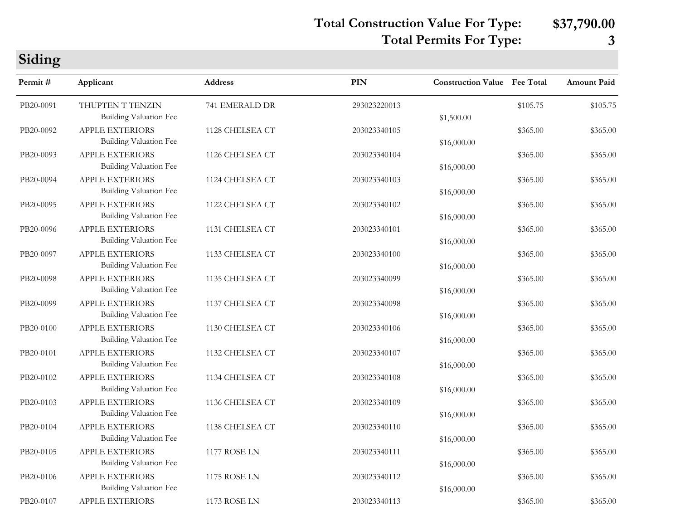**Total Construction Value For Type: \$37,790.00**

## **Total Permits For Type: 3**

| Siding    |                                                         |                 |              |                                     |          |                    |
|-----------|---------------------------------------------------------|-----------------|--------------|-------------------------------------|----------|--------------------|
| Permit#   | Applicant                                               | <b>Address</b>  | <b>PIN</b>   | <b>Construction Value</b> Fee Total |          | <b>Amount Paid</b> |
| PB20-0091 | THUPTEN T TENZIN<br><b>Building Valuation Fee</b>       | 741 EMERALD DR  | 293023220013 | \$1,500.00                          | \$105.75 | \$105.75           |
| PB20-0092 | <b>APPLE EXTERIORS</b><br><b>Building Valuation Fee</b> | 1128 CHELSEA CT | 203023340105 | \$16,000.00                         | \$365.00 | \$365.00           |
| PB20-0093 | <b>APPLE EXTERIORS</b><br><b>Building Valuation Fee</b> | 1126 CHELSEA CT | 203023340104 | \$16,000.00                         | \$365.00 | \$365.00           |
| PB20-0094 | <b>APPLE EXTERIORS</b><br><b>Building Valuation Fee</b> | 1124 CHELSEA CT | 203023340103 | \$16,000.00                         | \$365.00 | \$365.00           |
| PB20-0095 | <b>APPLE EXTERIORS</b><br><b>Building Valuation Fee</b> | 1122 CHELSEA CT | 203023340102 | \$16,000.00                         | \$365.00 | \$365.00           |
| PB20-0096 | <b>APPLE EXTERIORS</b><br><b>Building Valuation Fee</b> | 1131 CHELSEA CT | 203023340101 | \$16,000.00                         | \$365.00 | \$365.00           |
| PB20-0097 | <b>APPLE EXTERIORS</b><br><b>Building Valuation Fee</b> | 1133 CHELSEA CT | 203023340100 | \$16,000.00                         | \$365.00 | \$365.00           |
| PB20-0098 | <b>APPLE EXTERIORS</b><br><b>Building Valuation Fee</b> | 1135 CHELSEA CT | 203023340099 | \$16,000.00                         | \$365.00 | \$365.00           |
| PB20-0099 | APPLE EXTERIORS<br><b>Building Valuation Fee</b>        | 1137 CHELSEA CT | 203023340098 | \$16,000.00                         | \$365.00 | \$365.00           |
| PB20-0100 | <b>APPLE EXTERIORS</b><br><b>Building Valuation Fee</b> | 1130 CHELSEA CT | 203023340106 | \$16,000.00                         | \$365.00 | \$365.00           |
| PB20-0101 | <b>APPLE EXTERIORS</b><br><b>Building Valuation Fee</b> | 1132 CHELSEA CT | 203023340107 | \$16,000.00                         | \$365.00 | \$365.00           |
| PB20-0102 | <b>APPLE EXTERIORS</b><br><b>Building Valuation Fee</b> | 1134 CHELSEA CT | 203023340108 | \$16,000.00                         | \$365.00 | \$365.00           |
| PB20-0103 | <b>APPLE EXTERIORS</b><br><b>Building Valuation Fee</b> | 1136 CHELSEA CT | 203023340109 | \$16,000.00                         | \$365.00 | \$365.00           |
| PB20-0104 | <b>APPLE EXTERIORS</b><br><b>Building Valuation Fee</b> | 1138 CHELSEA CT | 203023340110 | \$16,000.00                         | \$365.00 | \$365.00           |
| PB20-0105 | <b>APPLE EXTERIORS</b><br><b>Building Valuation Fee</b> | 1177 ROSE LN    | 203023340111 | \$16,000.00                         | \$365.00 | \$365.00           |
| PB20-0106 | APPLE EXTERIORS<br><b>Building Valuation Fee</b>        | 1175 ROSE LN    | 203023340112 | \$16,000.00                         | \$365.00 | \$365.00           |
| PB20-0107 | APPLE EXTERIORS                                         | 1173 ROSE LN    | 203023340113 |                                     | \$365.00 | \$365.00           |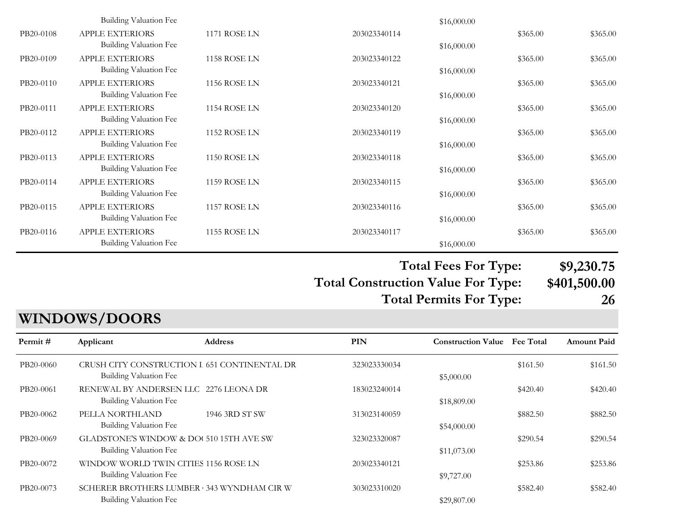|           | Building Valuation Fee |                     |              | \$16,000.00 |          |          |
|-----------|------------------------|---------------------|--------------|-------------|----------|----------|
| PB20-0108 | <b>APPLE EXTERIORS</b> | 1171 ROSE LN        | 203023340114 |             | \$365.00 | \$365.00 |
|           | Building Valuation Fee |                     |              | \$16,000.00 |          |          |
| PB20-0109 | <b>APPLE EXTERIORS</b> | 1158 ROSE LN        | 203023340122 |             | \$365.00 | \$365.00 |
|           | Building Valuation Fee |                     |              | \$16,000.00 |          |          |
| PB20-0110 | <b>APPLE EXTERIORS</b> | <b>1156 ROSE LN</b> | 203023340121 |             | \$365.00 | \$365.00 |
|           | Building Valuation Fee |                     |              | \$16,000.00 |          |          |
| PB20-0111 | <b>APPLE EXTERIORS</b> | <b>1154 ROSE LN</b> | 203023340120 |             | \$365.00 | \$365.00 |
|           | Building Valuation Fee |                     |              | \$16,000.00 |          |          |
| PB20-0112 | <b>APPLE EXTERIORS</b> | 1152 ROSE LN        | 203023340119 |             | \$365.00 | \$365.00 |
|           | Building Valuation Fee |                     |              | \$16,000.00 |          |          |
| PB20-0113 | <b>APPLE EXTERIORS</b> | <b>1150 ROSE LN</b> | 203023340118 |             | \$365.00 | \$365.00 |
|           | Building Valuation Fee |                     |              | \$16,000.00 |          |          |
| PB20-0114 | <b>APPLE EXTERIORS</b> | 1159 ROSE LN        | 203023340115 |             | \$365.00 | \$365.00 |
|           | Building Valuation Fee |                     |              | \$16,000.00 |          |          |
| PB20-0115 | <b>APPLE EXTERIORS</b> | 1157 ROSE LN        | 203023340116 |             | \$365.00 | \$365.00 |
|           | Building Valuation Fee |                     |              | \$16,000.00 |          |          |
| PB20-0116 | <b>APPLE EXTERIORS</b> | <b>1155 ROSE LN</b> | 203023340117 |             | \$365.00 | \$365.00 |
|           | Building Valuation Fee |                     |              | \$16,000.00 |          |          |

**Total Fees For Type: \$9,230.75**

**Total Construction Value For Type: \$401,500.00 Total Permits For Type: 26**

#### **PIN Construction Value Permit # Applicant Address Fee Total Amount Paid WINDOWS/DOORS** PB20-0060 CRUSH CITY CONSTRUCTION L 651 CONTINENTAL DR 323023330034 \$161.50 \$161.50 \$161.50 Building Valuation Fee  $$5,000.00$ PB20-0061 RENEWAL BY ANDERSEN LLC 2276 LEONA DR 183023240014 \$420.40 \$420.40 \$420.40 Building Valuation Fee  $$18,809.00$ PB20-0062 PELLA NORTHLAND 1946 3RD ST SW 313023140059 \$882.50 \$882.50 \$882.50 \$882.50 Building Valuation Fee  $$54,000.00$ PB20-0069 GLADSTONE'S WINDOW & DOUS 10 15TH AVE SW 323023320087 \$290.54 \$290.54 \$290.54 \$290.54 Building Valuation Fee  $$11,073.00$ PB20-0072 WINDOW WORLD TWIN CITIES 1156 ROSE LN 203023340121 \$253.86 \$253.86 \$253.86 Building Valuation Fee  $$9,727.00$ PB20-0073 SCHERER BROTHERS LUMBER 343 WYNDHAM CIR W 303023310020 \$582.40 \$582.40 \$582.40 Building Valuation Fee  $$29,807.00$